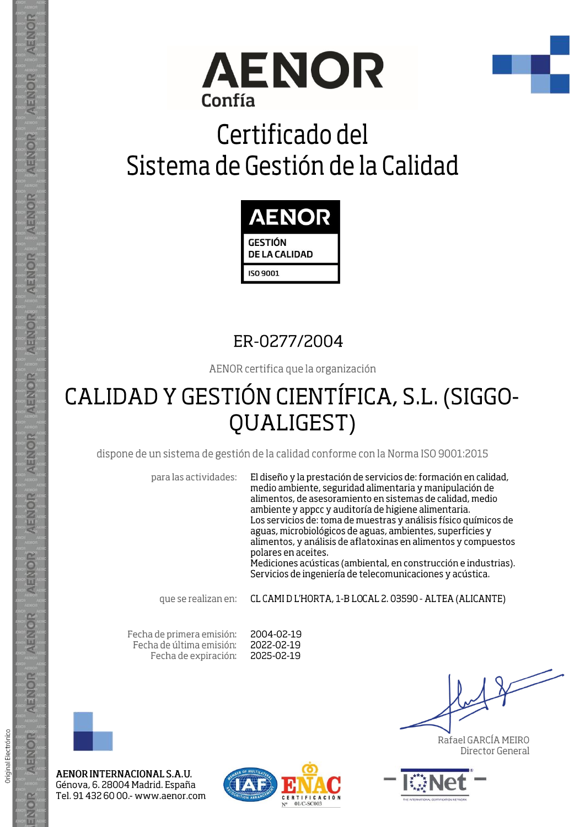



# Certificado del Sistema de Gestión de la Calidad



## ER-0277/2004

AENOR certifica que la organización

## CALIDAD Y GESTIÓN CIENTÍFICA, S.L. (SIGGO-**QUALIGEST)**

dispone de un sistema de gestión de la calidad conforme con la Norma ISO 9001:2015

para las actividades:

El diseño y la prestación de servicios de: formación en calidad, medio ambiente, seguridad alimentaria y manipulación de alimentos, de asesoramiento en sistemas de calidad, medio ambiente y appcc y auditoría de higiene alimentaria. Los servicios de: toma de muestras y análisis físico químicos de aguas, microbiológicos de aguas, ambientes, superficies y alimentos, y análisis de aflatoxinas en alimentos y compuestos polares en aceites.

Mediciones acústicas (ambiental, en construcción e industrias). Servicios de ingeniería de telecomunicaciones y acústica.

que se realizan en:

CL CAMI D L'HORTA, 1-B LOCAL 2. 03590 - ALTEA (ALICANTE)

Fecha de primera emisión: Fecha de última emisión: Fecha de expiración:

2004-02-19 2022-02-19 2025-02-19



Original Electrónico

AENOR

ENOR

AENOR INTERNACIONAL S.A.U. Génova, 6. 28004 Madrid. España Tel. 91 432 60 00 .- www.aenor.com



Rafael GARCÍA MEIRO Director General